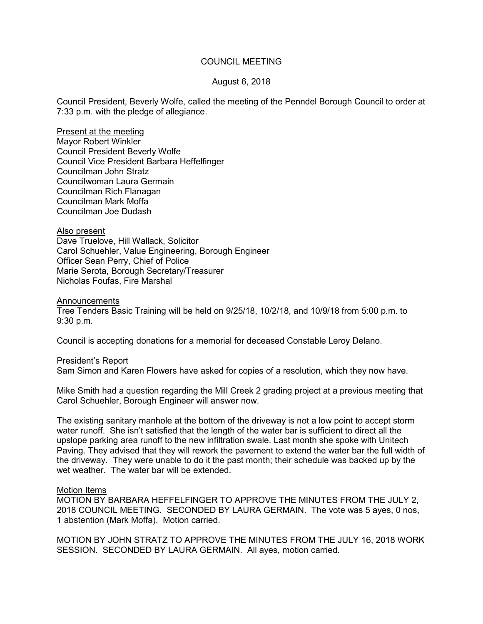## COUNCIL MEETING

## August 6, 2018

Council President, Beverly Wolfe, called the meeting of the Penndel Borough Council to order at 7:33 p.m. with the pledge of allegiance.

Present at the meeting Mayor Robert Winkler Council President Beverly Wolfe Council Vice President Barbara Heffelfinger Councilman John Stratz Councilwoman Laura Germain Councilman Rich Flanagan Councilman Mark Moffa Councilman Joe Dudash

#### Also present

Dave Truelove, Hill Wallack, Solicitor Carol Schuehler, Value Engineering, Borough Engineer Officer Sean Perry, Chief of Police Marie Serota, Borough Secretary/Treasurer Nicholas Foufas, Fire Marshal

#### Announcements

Tree Tenders Basic Training will be held on 9/25/18, 10/2/18, and 10/9/18 from 5:00 p.m. to 9:30 p.m.

Council is accepting donations for a memorial for deceased Constable Leroy Delano.

#### President's Report

Sam Simon and Karen Flowers have asked for copies of a resolution, which they now have.

Mike Smith had a question regarding the Mill Creek 2 grading project at a previous meeting that Carol Schuehler, Borough Engineer will answer now.

The existing sanitary manhole at the bottom of the driveway is not a low point to accept storm water runoff. She isn't satisfied that the length of the water bar is sufficient to direct all the upslope parking area runoff to the new infiltration swale. Last month she spoke with Unitech Paving. They advised that they will rework the pavement to extend the water bar the full width of the driveway. They were unable to do it the past month; their schedule was backed up by the wet weather. The water bar will be extended.

#### Motion Items

MOTION BY BARBARA HEFFELFINGER TO APPROVE THE MINUTES FROM THE JULY 2, 2018 COUNCIL MEETING. SECONDED BY LAURA GERMAIN. The vote was 5 ayes, 0 nos, 1 abstention (Mark Moffa). Motion carried.

MOTION BY JOHN STRATZ TO APPROVE THE MINUTES FROM THE JULY 16, 2018 WORK SESSION. SECONDED BY LAURA GERMAIN. All ayes, motion carried.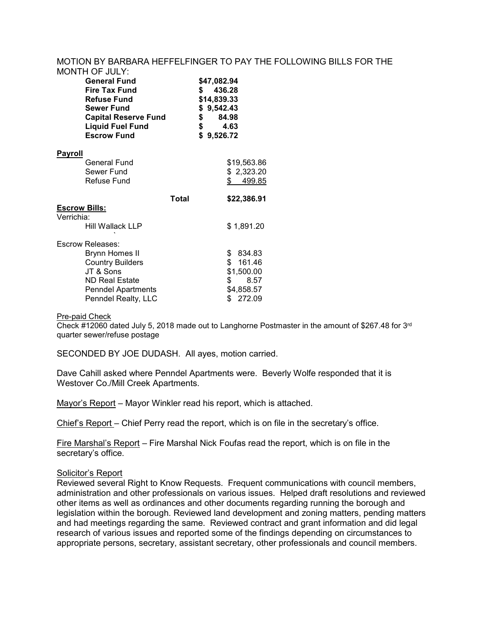#### MOTION BY BARBARA HEFFELFINGER TO PAY THE FOLLOWING BILLS FOR THE  $MONTH$   $\Omega$   $F$   $\Omega$   $\Omega$

|                | IVIUN I FI UF JUL I .<br><b>General Fund</b><br><b>Fire Tax Fund</b><br><b>Refuse Fund</b><br><b>Sewer Fund</b><br><b>Capital Reserve Fund</b><br><b>Liquid Fuel Fund</b><br><b>Escrow Fund</b> |              | \$47,082.94<br>s.<br>\$14,839.33<br>\$9,542.43<br>\$<br>\$<br>\$9,526.72 | 436.28<br>84.98<br>4.63 |
|----------------|-------------------------------------------------------------------------------------------------------------------------------------------------------------------------------------------------|--------------|--------------------------------------------------------------------------|-------------------------|
| <u>Payroll</u> |                                                                                                                                                                                                 |              |                                                                          |                         |
|                | General Fund                                                                                                                                                                                    |              |                                                                          | \$19,563.86             |
|                | Sewer Fund                                                                                                                                                                                      |              |                                                                          | \$2,323.20              |
|                | Refuse Fund                                                                                                                                                                                     |              |                                                                          | \$<br>499.85            |
|                |                                                                                                                                                                                                 | <b>Total</b> |                                                                          | \$22,386.91             |
| Escrow Bills:  |                                                                                                                                                                                                 |              |                                                                          |                         |
| Verrichia:     |                                                                                                                                                                                                 |              |                                                                          |                         |
|                | Hill Wallack LLP                                                                                                                                                                                |              |                                                                          | \$1,891.20              |
|                | Escrow Releases:                                                                                                                                                                                |              |                                                                          |                         |
|                | <b>Brynn Homes II</b>                                                                                                                                                                           |              |                                                                          | \$ 834.83               |
|                | <b>Country Builders</b>                                                                                                                                                                         |              |                                                                          | \$161.46                |
|                | JT & Sons                                                                                                                                                                                       |              |                                                                          | \$1,500.00              |
|                | <b>ND Real Estate</b>                                                                                                                                                                           |              |                                                                          | 8.57<br>\$              |
|                | <b>Penndel Apartments</b>                                                                                                                                                                       |              |                                                                          | \$4,858.57              |
|                | Penndel Realty, LLC                                                                                                                                                                             |              |                                                                          | \$272.09                |

#### Pre-paid Check

Check #12060 dated July 5, 2018 made out to Langhorne Postmaster in the amount of \$267.48 for 3rd quarter sewer/refuse postage

SECONDED BY JOE DUDASH. All ayes, motion carried.

Dave Cahill asked where Penndel Apartments were. Beverly Wolfe responded that it is Westover Co./Mill Creek Apartments.

Mayor's Report – Mayor Winkler read his report, which is attached.

Chief's Report – Chief Perry read the report, which is on file in the secretary's office.

Fire Marshal's Report – Fire Marshal Nick Foufas read the report, which is on file in the secretary's office.

#### Solicitor's Report

Reviewed several Right to Know Requests. Frequent communications with council members, administration and other professionals on various issues. Helped draft resolutions and reviewed other items as well as ordinances and other documents regarding running the borough and legislation within the borough. Reviewed land development and zoning matters, pending matters and had meetings regarding the same. Reviewed contract and grant information and did legal research of various issues and reported some of the findings depending on circumstances to appropriate persons, secretary, assistant secretary, other professionals and council members.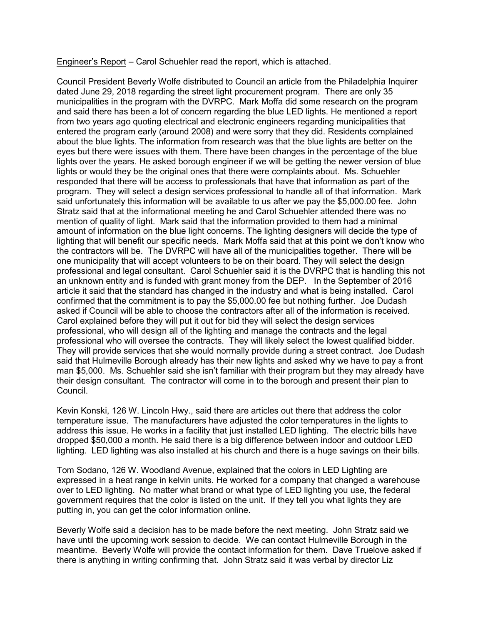Engineer's Report – Carol Schuehler read the report, which is attached.

Council President Beverly Wolfe distributed to Council an article from the Philadelphia Inquirer dated June 29, 2018 regarding the street light procurement program. There are only 35 municipalities in the program with the DVRPC. Mark Moffa did some research on the program and said there has been a lot of concern regarding the blue LED lights. He mentioned a report from two years ago quoting electrical and electronic engineers regarding municipalities that entered the program early (around 2008) and were sorry that they did. Residents complained about the blue lights. The information from research was that the blue lights are better on the eyes but there were issues with them. There have been changes in the percentage of the blue lights over the years. He asked borough engineer if we will be getting the newer version of blue lights or would they be the original ones that there were complaints about. Ms. Schuehler responded that there will be access to professionals that have that information as part of the program. They will select a design services professional to handle all of that information. Mark said unfortunately this information will be available to us after we pay the \$5,000.00 fee. John Stratz said that at the informational meeting he and Carol Schuehler attended there was no mention of quality of light. Mark said that the information provided to them had a minimal amount of information on the blue light concerns. The lighting designers will decide the type of lighting that will benefit our specific needs. Mark Moffa said that at this point we don't know who the contractors will be. The DVRPC will have all of the municipalities together. There will be one municipality that will accept volunteers to be on their board. They will select the design professional and legal consultant. Carol Schuehler said it is the DVRPC that is handling this not an unknown entity and is funded with grant money from the DEP. In the September of 2016 article it said that the standard has changed in the industry and what is being installed. Carol confirmed that the commitment is to pay the \$5,000.00 fee but nothing further. Joe Dudash asked if Council will be able to choose the contractors after all of the information is received. Carol explained before they will put it out for bid they will select the design services professional, who will design all of the lighting and manage the contracts and the legal professional who will oversee the contracts. They will likely select the lowest qualified bidder. They will provide services that she would normally provide during a street contract. Joe Dudash said that Hulmeville Borough already has their new lights and asked why we have to pay a front man \$5,000. Ms. Schuehler said she isn't familiar with their program but they may already have their design consultant. The contractor will come in to the borough and present their plan to Council.

Kevin Konski, 126 W. Lincoln Hwy., said there are articles out there that address the color temperature issue. The manufacturers have adjusted the color temperatures in the lights to address this issue. He works in a facility that just installed LED lighting. The electric bills have dropped \$50,000 a month. He said there is a big difference between indoor and outdoor LED lighting. LED lighting was also installed at his church and there is a huge savings on their bills.

Tom Sodano, 126 W. Woodland Avenue, explained that the colors in LED Lighting are expressed in a heat range in kelvin units. He worked for a company that changed a warehouse over to LED lighting. No matter what brand or what type of LED lighting you use, the federal government requires that the color is listed on the unit. If they tell you what lights they are putting in, you can get the color information online.

Beverly Wolfe said a decision has to be made before the next meeting. John Stratz said we have until the upcoming work session to decide. We can contact Hulmeville Borough in the meantime. Beverly Wolfe will provide the contact information for them. Dave Truelove asked if there is anything in writing confirming that. John Stratz said it was verbal by director Liz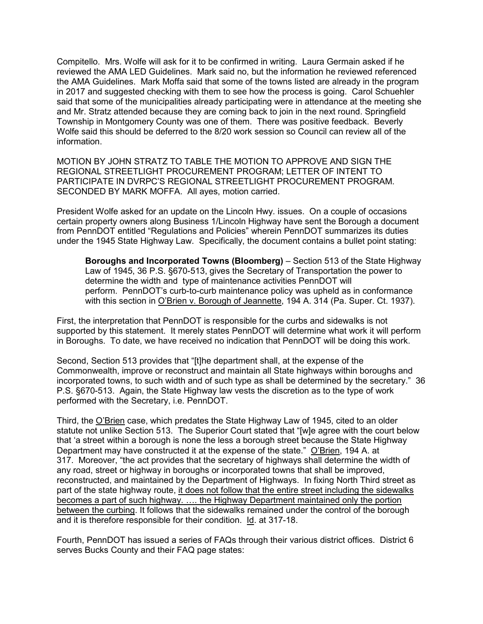Compitello. Mrs. Wolfe will ask for it to be confirmed in writing. Laura Germain asked if he reviewed the AMA LED Guidelines. Mark said no, but the information he reviewed referenced the AMA Guidelines. Mark Moffa said that some of the towns listed are already in the program in 2017 and suggested checking with them to see how the process is going. Carol Schuehler said that some of the municipalities already participating were in attendance at the meeting she and Mr. Stratz attended because they are coming back to join in the next round. Springfield Township in Montgomery County was one of them. There was positive feedback. Beverly Wolfe said this should be deferred to the 8/20 work session so Council can review all of the information.

MOTION BY JOHN STRATZ TO TABLE THE MOTION TO APPROVE AND SIGN THE REGIONAL STREETLIGHT PROCUREMENT PROGRAM; LETTER OF INTENT TO PARTICIPATE IN DVRPC'S REGIONAL STREETLIGHT PROCUREMENT PROGRAM. SECONDED BY MARK MOFFA. All ayes, motion carried.

President Wolfe asked for an update on the Lincoln Hwy. issues. On a couple of occasions certain property owners along Business 1/Lincoln Highway have sent the Borough a document from PennDOT entitled "Regulations and Policies" wherein PennDOT summarizes its duties under the 1945 State Highway Law. Specifically, the document contains a bullet point stating:

**Boroughs and Incorporated Towns (Bloomberg)** – Section 513 of the State Highway Law of 1945, 36 P.S. §670-513, gives the Secretary of Transportation the power to determine the width and type of maintenance activities PennDOT will perform. PennDOT's curb-to-curb maintenance policy was upheld as in conformance with this section in O'Brien v. Borough of Jeannette, 194 A. 314 (Pa. Super. Ct. 1937).

First, the interpretation that PennDOT is responsible for the curbs and sidewalks is not supported by this statement. It merely states PennDOT will determine what work it will perform in Boroughs. To date, we have received no indication that PennDOT will be doing this work.

Second, Section 513 provides that "[t]he department shall, at the expense of the Commonwealth, improve or reconstruct and maintain all State highways within boroughs and incorporated towns, to such width and of such type as shall be determined by the secretary." 36 P.S. §670-513. Again, the State Highway law vests the discretion as to the type of work performed with the Secretary, i.e. PennDOT.

Third, the O'Brien case, which predates the State Highway Law of 1945, cited to an older statute not unlike Section 513. The Superior Court stated that "[w]e agree with the court below that 'a street within a borough is none the less a borough street because the State Highway Department may have constructed it at the expense of the state." O'Brien, 194 A. at 317. Moreover, "the act provides that the secretary of highways shall determine the width of any road, street or highway in boroughs or incorporated towns that shall be improved, reconstructed, and maintained by the Department of Highways. In fixing North Third street as part of the state highway route, it does not follow that the entire street including the sidewalks becomes a part of such highway. .... the Highway Department maintained only the portion between the curbing. It follows that the sidewalks remained under the control of the borough and it is therefore responsible for their condition. Id. at 317-18.

Fourth, PennDOT has issued a series of FAQs through their various district offices. District 6 serves Bucks County and their FAQ page states: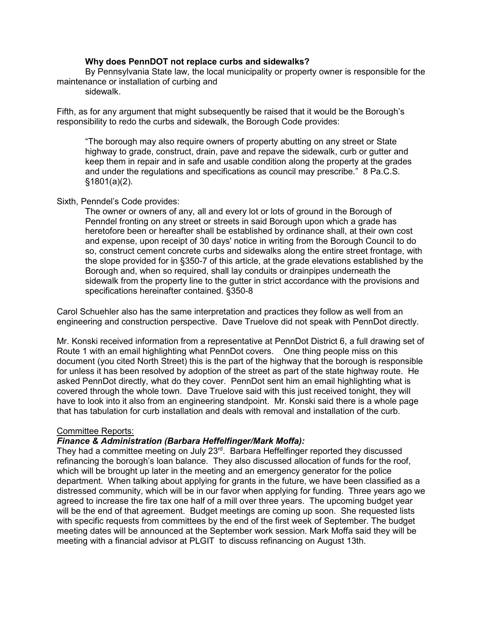## **Why does PennDOT not replace curbs and sidewalks?**

By Pennsylvania State law, the local municipality or property owner is responsible for the maintenance or installation of curbing and

sidewalk.

Fifth, as for any argument that might subsequently be raised that it would be the Borough's responsibility to redo the curbs and sidewalk, the Borough Code provides:

"The borough may also require owners of property abutting on any street or State highway to grade, construct, drain, pave and repave the sidewalk, curb or gutter and keep them in repair and in safe and usable condition along the property at the grades and under the regulations and specifications as council may prescribe." 8 Pa.C.S. §1801(a)(2).

## Sixth, Penndel's Code provides:

The owner or owners of any, all and every lot or lots of ground in the Borough of Penndel fronting on any street or streets in said Borough upon which a grade has heretofore been or hereafter shall be established by ordinance shall, at their own cost and expense, upon receipt of 30 days' notice in writing from the Borough Council to do so, construct cement concrete curbs and sidewalks along the entire street frontage, with the slope provided for in §350-7 of this article, at the grade elevations established by the Borough and, when so required, shall lay conduits or drainpipes underneath the sidewalk from the property line to the gutter in strict accordance with the provisions and specifications hereinafter contained. §350-8

Carol Schuehler also has the same interpretation and practices they follow as well from an engineering and construction perspective. Dave Truelove did not speak with PennDot directly.

Mr. Konski received information from a representative at PennDot District 6, a full drawing set of Route 1 with an email highlighting what PennDot covers. One thing people miss on this document (you cited North Street) this is the part of the highway that the borough is responsible for unless it has been resolved by adoption of the street as part of the state highway route. He asked PennDot directly, what do they cover. PennDot sent him an email highlighting what is covered through the whole town. Dave Truelove said with this just received tonight, they will have to look into it also from an engineering standpoint. Mr. Konski said there is a whole page that has tabulation for curb installation and deals with removal and installation of the curb.

# Committee Reports:

# *Finance & Administration (Barbara Heffelfinger/Mark Moffa):*

They had a committee meeting on July 23<sup>rd</sup>. Barbara Heffelfinger reported they discussed refinancing the borough's loan balance. They also discussed allocation of funds for the roof, which will be brought up later in the meeting and an emergency generator for the police department. When talking about applying for grants in the future, we have been classified as a distressed community, which will be in our favor when applying for funding. Three years ago we agreed to increase the fire tax one half of a mill over three years. The upcoming budget year will be the end of that agreement. Budget meetings are coming up soon. She requested lists with specific requests from committees by the end of the first week of September. The budget meeting dates will be announced at the September work session. Mark Moffa said they will be meeting with a financial advisor at PLGIT to discuss refinancing on August 13th.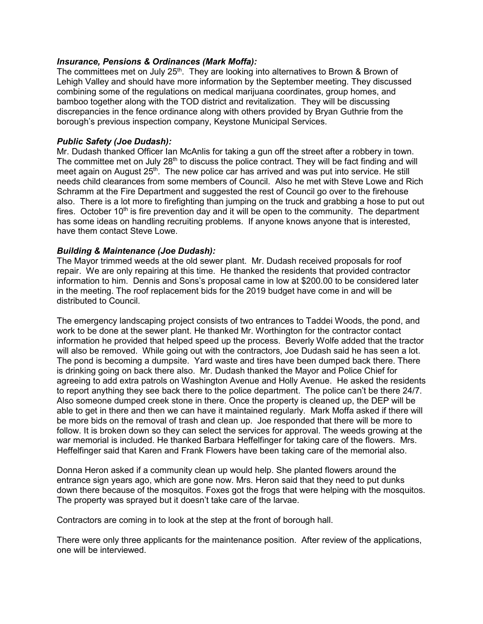# *Insurance, Pensions & Ordinances (Mark Moffa):*

The committees met on July  $25<sup>th</sup>$ . They are looking into alternatives to Brown & Brown of Lehigh Valley and should have more information by the September meeting. They discussed combining some of the regulations on medical marijuana coordinates, group homes, and bamboo together along with the TOD district and revitalization. They will be discussing discrepancies in the fence ordinance along with others provided by Bryan Guthrie from the borough's previous inspection company, Keystone Municipal Services.

# *Public Safety (Joe Dudash):*

Mr. Dudash thanked Officer Ian McAnlis for taking a gun off the street after a robbery in town. The committee met on July 28<sup>th</sup> to discuss the police contract. They will be fact finding and will meet again on August 25<sup>th</sup>. The new police car has arrived and was put into service. He still needs child clearances from some members of Council. Also he met with Steve Lowe and Rich Schramm at the Fire Department and suggested the rest of Council go over to the firehouse also. There is a lot more to firefighting than jumping on the truck and grabbing a hose to put out fires. October  $10<sup>th</sup>$  is fire prevention day and it will be open to the community. The department has some ideas on handling recruiting problems. If anyone knows anyone that is interested, have them contact Steve Lowe.

## *Building & Maintenance (Joe Dudash):*

The Mayor trimmed weeds at the old sewer plant. Mr. Dudash received proposals for roof repair. We are only repairing at this time. He thanked the residents that provided contractor information to him. Dennis and Sons's proposal came in low at \$200.00 to be considered later in the meeting. The roof replacement bids for the 2019 budget have come in and will be distributed to Council.

The emergency landscaping project consists of two entrances to Taddei Woods, the pond, and work to be done at the sewer plant. He thanked Mr. Worthington for the contractor contact information he provided that helped speed up the process. Beverly Wolfe added that the tractor will also be removed. While going out with the contractors, Joe Dudash said he has seen a lot. The pond is becoming a dumpsite. Yard waste and tires have been dumped back there. There is drinking going on back there also. Mr. Dudash thanked the Mayor and Police Chief for agreeing to add extra patrols on Washington Avenue and Holly Avenue. He asked the residents to report anything they see back there to the police department. The police can't be there 24/7. Also someone dumped creek stone in there. Once the property is cleaned up, the DEP will be able to get in there and then we can have it maintained regularly. Mark Moffa asked if there will be more bids on the removal of trash and clean up. Joe responded that there will be more to follow. It is broken down so they can select the services for approval. The weeds growing at the war memorial is included. He thanked Barbara Heffelfinger for taking care of the flowers. Mrs. Heffelfinger said that Karen and Frank Flowers have been taking care of the memorial also.

Donna Heron asked if a community clean up would help. She planted flowers around the entrance sign years ago, which are gone now. Mrs. Heron said that they need to put dunks down there because of the mosquitos. Foxes got the frogs that were helping with the mosquitos. The property was sprayed but it doesn't take care of the larvae.

Contractors are coming in to look at the step at the front of borough hall.

There were only three applicants for the maintenance position. After review of the applications, one will be interviewed.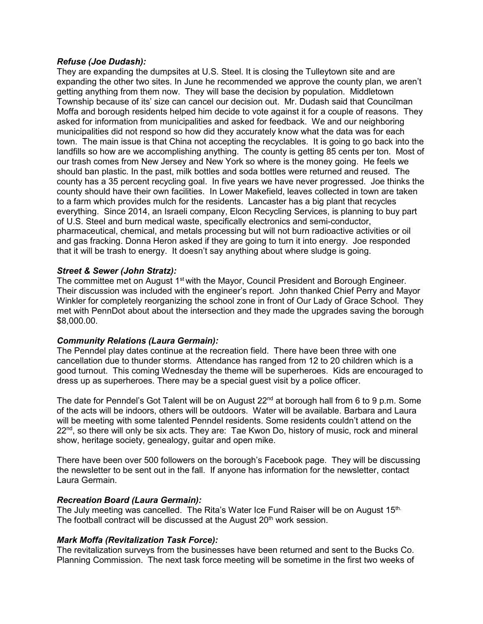### *Refuse (Joe Dudash):*

They are expanding the dumpsites at U.S. Steel. It is closing the Tulleytown site and are expanding the other two sites. In June he recommended we approve the county plan, we aren't getting anything from them now. They will base the decision by population. Middletown Township because of its' size can cancel our decision out. Mr. Dudash said that Councilman Moffa and borough residents helped him decide to vote against it for a couple of reasons. They asked for information from municipalities and asked for feedback. We and our neighboring municipalities did not respond so how did they accurately know what the data was for each town. The main issue is that China not accepting the recyclables. It is going to go back into the landfills so how are we accomplishing anything. The county is getting 85 cents per ton. Most of our trash comes from New Jersey and New York so where is the money going. He feels we should ban plastic. In the past, milk bottles and soda bottles were returned and reused. The county has a 35 percent recycling goal. In five years we have never progressed. Joe thinks the county should have their own facilities. In Lower Makefield, leaves collected in town are taken to a farm which provides mulch for the residents. Lancaster has a big plant that recycles everything. Since 2014, an Israeli company, Elcon Recycling Services, is planning to buy part of U.S. Steel and burn medical waste, specifically electronics and semi-conductor, pharmaceutical, chemical, and metals processing but will not burn radioactive activities or oil and gas fracking. Donna Heron asked if they are going to turn it into energy. Joe responded that it will be trash to energy. It doesn't say anything about where sludge is going.

# *Street & Sewer (John Stratz):*

The committee met on August 1<sup>st</sup> with the Mayor, Council President and Borough Engineer. Their discussion was included with the engineer's report. John thanked Chief Perry and Mayor Winkler for completely reorganizing the school zone in front of Our Lady of Grace School. They met with PennDot about about the intersection and they made the upgrades saving the borough \$8,000.00.

# *Community Relations (Laura Germain):*

The Penndel play dates continue at the recreation field. There have been three with one cancellation due to thunder storms. Attendance has ranged from 12 to 20 children which is a good turnout. This coming Wednesday the theme will be superheroes. Kids are encouraged to dress up as superheroes. There may be a special guest visit by a police officer.

The date for Penndel's Got Talent will be on August  $22<sup>nd</sup>$  at borough hall from 6 to 9 p.m. Some of the acts will be indoors, others will be outdoors. Water will be available. Barbara and Laura will be meeting with some talented Penndel residents. Some residents couldn't attend on the  $22<sup>nd</sup>$ , so there will only be six acts. They are: Tae Kwon Do, history of music, rock and mineral show, heritage society, genealogy, guitar and open mike.

There have been over 500 followers on the borough's Facebook page. They will be discussing the newsletter to be sent out in the fall. If anyone has information for the newsletter, contact Laura Germain.

# *Recreation Board (Laura Germain):*

The July meeting was cancelled. The Rita's Water Ice Fund Raiser will be on August 15th. The football contract will be discussed at the August 20<sup>th</sup> work session.

# *Mark Moffa (Revitalization Task Force):*

The revitalization surveys from the businesses have been returned and sent to the Bucks Co. Planning Commission. The next task force meeting will be sometime in the first two weeks of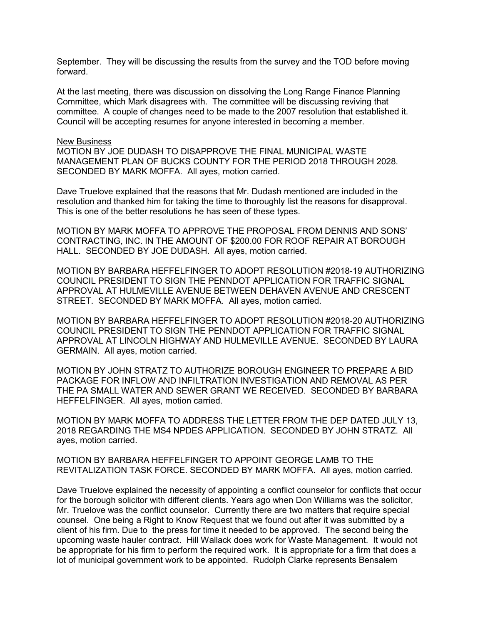September. They will be discussing the results from the survey and the TOD before moving forward.

At the last meeting, there was discussion on dissolving the Long Range Finance Planning Committee, which Mark disagrees with. The committee will be discussing reviving that committee. A couple of changes need to be made to the 2007 resolution that established it. Council will be accepting resumes for anyone interested in becoming a member.

#### New Business

MOTION BY JOE DUDASH TO DISAPPROVE THE FINAL MUNICIPAL WASTE MANAGEMENT PLAN OF BUCKS COUNTY FOR THE PERIOD 2018 THROUGH 2028. SECONDED BY MARK MOFFA. All ayes, motion carried.

Dave Truelove explained that the reasons that Mr. Dudash mentioned are included in the resolution and thanked him for taking the time to thoroughly list the reasons for disapproval. This is one of the better resolutions he has seen of these types.

MOTION BY MARK MOFFA TO APPROVE THE PROPOSAL FROM DENNIS AND SONS' CONTRACTING, INC. IN THE AMOUNT OF \$200.00 FOR ROOF REPAIR AT BOROUGH HALL. SECONDED BY JOE DUDASH. All ayes, motion carried.

MOTION BY BARBARA HEFFELFINGER TO ADOPT RESOLUTION #2018-19 AUTHORIZING COUNCIL PRESIDENT TO SIGN THE PENNDOT APPLICATION FOR TRAFFIC SIGNAL APPROVAL AT HULMEVILLE AVENUE BETWEEN DEHAVEN AVENUE AND CRESCENT STREET. SECONDED BY MARK MOFFA. All ayes, motion carried.

MOTION BY BARBARA HEFFELFINGER TO ADOPT RESOLUTION #2018-20 AUTHORIZING COUNCIL PRESIDENT TO SIGN THE PENNDOT APPLICATION FOR TRAFFIC SIGNAL APPROVAL AT LINCOLN HIGHWAY AND HULMEVILLE AVENUE. SECONDED BY LAURA GERMAIN. All ayes, motion carried.

MOTION BY JOHN STRATZ TO AUTHORIZE BOROUGH ENGINEER TO PREPARE A BID PACKAGE FOR INFLOW AND INFILTRATION INVESTIGATION AND REMOVAL AS PER THE PA SMALL WATER AND SEWER GRANT WE RECEIVED. SECONDED BY BARBARA HEFFELFINGER. All ayes, motion carried.

MOTION BY MARK MOFFA TO ADDRESS THE LETTER FROM THE DEP DATED JULY 13, 2018 REGARDING THE MS4 NPDES APPLICATION. SECONDED BY JOHN STRATZ. All ayes, motion carried.

MOTION BY BARBARA HEFFELFINGER TO APPOINT GEORGE LAMB TO THE REVITALIZATION TASK FORCE. SECONDED BY MARK MOFFA. All ayes, motion carried.

Dave Truelove explained the necessity of appointing a conflict counselor for conflicts that occur for the borough solicitor with different clients. Years ago when Don Williams was the solicitor, Mr. Truelove was the conflict counselor. Currently there are two matters that require special counsel. One being a Right to Know Request that we found out after it was submitted by a client of his firm. Due to the press for time it needed to be approved. The second being the upcoming waste hauler contract. Hill Wallack does work for Waste Management. It would not be appropriate for his firm to perform the required work. It is appropriate for a firm that does a lot of municipal government work to be appointed. Rudolph Clarke represents Bensalem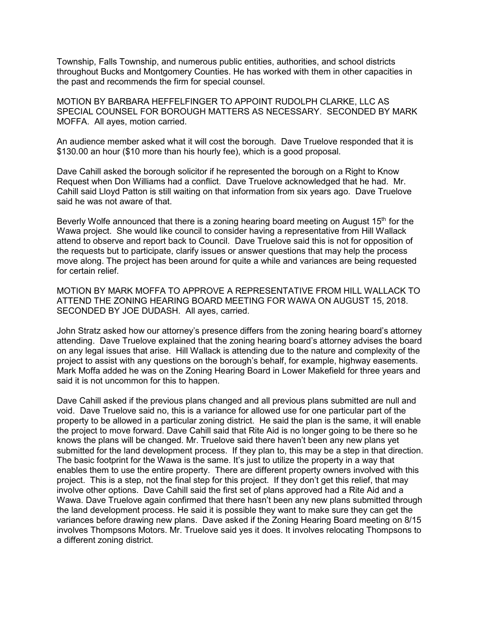Township, Falls Township, and numerous public entities, authorities, and school districts throughout Bucks and Montgomery Counties. He has worked with them in other capacities in the past and recommends the firm for special counsel.

MOTION BY BARBARA HEFFELFINGER TO APPOINT RUDOLPH CLARKE, LLC AS SPECIAL COUNSEL FOR BOROUGH MATTERS AS NECESSARY. SECONDED BY MARK MOFFA. All ayes, motion carried.

An audience member asked what it will cost the borough. Dave Truelove responded that it is \$130.00 an hour (\$10 more than his hourly fee), which is a good proposal.

Dave Cahill asked the borough solicitor if he represented the borough on a Right to Know Request when Don Williams had a conflict. Dave Truelove acknowledged that he had. Mr. Cahill said Lloyd Patton is still waiting on that information from six years ago. Dave Truelove said he was not aware of that.

Beverly Wolfe announced that there is a zoning hearing board meeting on August  $15<sup>th</sup>$  for the Wawa project. She would like council to consider having a representative from Hill Wallack attend to observe and report back to Council. Dave Truelove said this is not for opposition of the requests but to participate, clarify issues or answer questions that may help the process move along. The project has been around for quite a while and variances are being requested for certain relief.

MOTION BY MARK MOFFA TO APPROVE A REPRESENTATIVE FROM HILL WALLACK TO ATTEND THE ZONING HEARING BOARD MEETING FOR WAWA ON AUGUST 15, 2018. SECONDED BY JOE DUDASH. All ayes, carried.

John Stratz asked how our attorney's presence differs from the zoning hearing board's attorney attending. Dave Truelove explained that the zoning hearing board's attorney advises the board on any legal issues that arise. Hill Wallack is attending due to the nature and complexity of the project to assist with any questions on the borough's behalf, for example, highway easements. Mark Moffa added he was on the Zoning Hearing Board in Lower Makefield for three years and said it is not uncommon for this to happen.

Dave Cahill asked if the previous plans changed and all previous plans submitted are null and void. Dave Truelove said no, this is a variance for allowed use for one particular part of the property to be allowed in a particular zoning district. He said the plan is the same, it will enable the project to move forward. Dave Cahill said that Rite Aid is no longer going to be there so he knows the plans will be changed. Mr. Truelove said there haven't been any new plans yet submitted for the land development process. If they plan to, this may be a step in that direction. The basic footprint for the Wawa is the same. It's just to utilize the property in a way that enables them to use the entire property. There are different property owners involved with this project. This is a step, not the final step for this project. If they don't get this relief, that may involve other options. Dave Cahill said the first set of plans approved had a Rite Aid and a Wawa. Dave Truelove again confirmed that there hasn't been any new plans submitted through the land development process. He said it is possible they want to make sure they can get the variances before drawing new plans. Dave asked if the Zoning Hearing Board meeting on 8/15 involves Thompsons Motors. Mr. Truelove said yes it does. It involves relocating Thompsons to a different zoning district.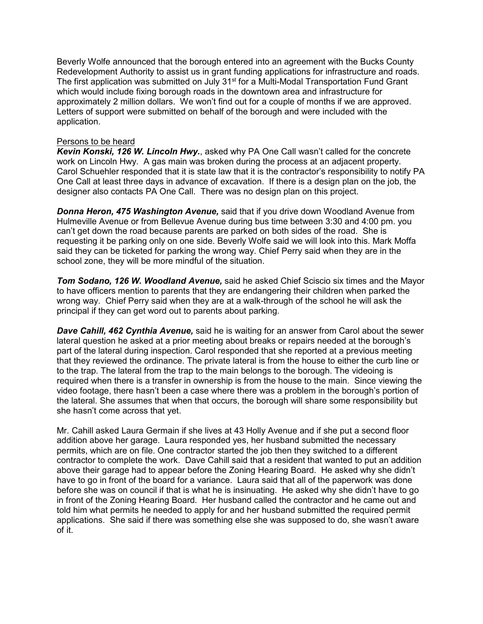Beverly Wolfe announced that the borough entered into an agreement with the Bucks County Redevelopment Authority to assist us in grant funding applications for infrastructure and roads. The first application was submitted on July 31<sup>st</sup> for a Multi-Modal Transportation Fund Grant which would include fixing borough roads in the downtown area and infrastructure for approximately 2 million dollars. We won't find out for a couple of months if we are approved. Letters of support were submitted on behalf of the borough and were included with the application.

### Persons to be heard

*Kevin Konski, 126 W. Lincoln Hwy.*, asked why PA One Call wasn't called for the concrete work on Lincoln Hwy. A gas main was broken during the process at an adjacent property. Carol Schuehler responded that it is state law that it is the contractor's responsibility to notify PA One Call at least three days in advance of excavation. If there is a design plan on the job, the designer also contacts PA One Call. There was no design plan on this project.

*Donna Heron, 475 Washington Avenue,* said that if you drive down Woodland Avenue from Hulmeville Avenue or from Bellevue Avenue during bus time between 3:30 and 4:00 pm. you can't get down the road because parents are parked on both sides of the road. She is requesting it be parking only on one side. Beverly Wolfe said we will look into this. Mark Moffa said they can be ticketed for parking the wrong way. Chief Perry said when they are in the school zone, they will be more mindful of the situation.

*Tom Sodano, 126 W. Woodland Avenue,* said he asked Chief Sciscio six times and the Mayor to have officers mention to parents that they are endangering their children when parked the wrong way. Chief Perry said when they are at a walk-through of the school he will ask the principal if they can get word out to parents about parking.

*Dave Cahill, 462 Cynthia Avenue,* said he is waiting for an answer from Carol about the sewer lateral question he asked at a prior meeting about breaks or repairs needed at the borough's part of the lateral during inspection. Carol responded that she reported at a previous meeting that they reviewed the ordinance. The private lateral is from the house to either the curb line or to the trap. The lateral from the trap to the main belongs to the borough. The videoing is required when there is a transfer in ownership is from the house to the main. Since viewing the video footage, there hasn't been a case where there was a problem in the borough's portion of the lateral. She assumes that when that occurs, the borough will share some responsibility but she hasn't come across that yet.

Mr. Cahill asked Laura Germain if she lives at 43 Holly Avenue and if she put a second floor addition above her garage. Laura responded yes, her husband submitted the necessary permits, which are on file. One contractor started the job then they switched to a different contractor to complete the work. Dave Cahill said that a resident that wanted to put an addition above their garage had to appear before the Zoning Hearing Board. He asked why she didn't have to go in front of the board for a variance. Laura said that all of the paperwork was done before she was on council if that is what he is insinuating. He asked why she didn't have to go in front of the Zoning Hearing Board. Her husband called the contractor and he came out and told him what permits he needed to apply for and her husband submitted the required permit applications. She said if there was something else she was supposed to do, she wasn't aware of it.